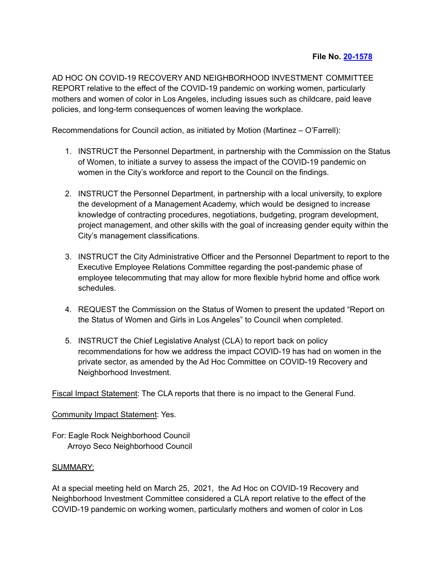AD HOC ON COVID-19 RECOVERY AND NEIGHBORHOOD INVESTMENT COMMITTEE REPORT relative to the effect of the COVID-19 pandemic on working women, particularly mothers and women of color in Los Angeles, including issues such as childcare, paid leave policies, and long-term consequences of women leaving the workplace.

Recommendations for Council action, as initiated by Motion (Martinez – O'Farrell):

- 1. INSTRUCT the Personnel Department, in partnership with the Commission on the Status of Women, to initiate a survey to assess the impact of the COVID-19 pandemic on women in the City's workforce and report to the Council on the findings.
- 2. INSTRUCT the Personnel Department, in partnership with a local university, to explore the development of a Management Academy, which would be designed to increase knowledge of contracting procedures, negotiations, budgeting, program development, project management, and other skills with the goal of increasing gender equity within the City's management classifications.
- 3. INSTRUCT the City Administrative Officer and the Personnel Department to report to the Executive Employee Relations Committee regarding the post-pandemic phase of employee telecommuting that may allow for more flexible hybrid home and office work schedules.
- 4. REQUEST the Commission on the Status of Women to present the updated "Report on the Status of Women and Girls in Los Angeles" to Council when completed.
- 5. INSTRUCT the Chief Legislative Analyst (CLA) to report back on policy recommendations for how we address the impact COVID-19 has had on women in the private sector, as amended by the Ad Hoc Committee on COVID-19 Recovery and Neighborhood Investment.

Fiscal Impact Statement: The CLA reports that there is no impact to the General Fund.

## Community Impact Statement: Yes.

For: Eagle Rock Neighborhood Council Arroyo Seco Neighborhood Council

## SUMMARY:

At a special meeting held on March 25, 2021, the Ad Hoc on COVID-19 Recovery and Neighborhood Investment Committee considered a CLA report relative to the effect of the COVID-19 pandemic on working women, particularly mothers and women of color in Los